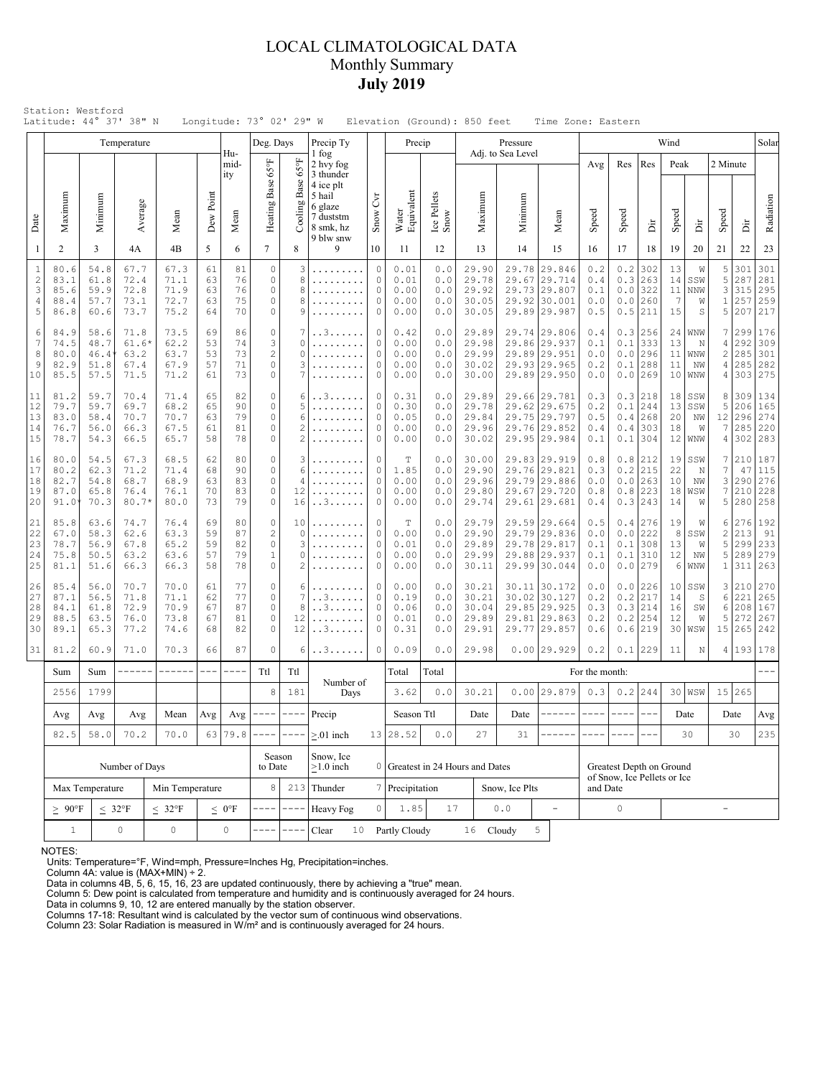## LOCAL CLIMATOLOGICAL DATA Monthly Summary **July 2019**

|                                      |                                                             |                                                                                                                                                       | Temperature                             |                                      |                                              |                              | Deg. Days                                    |                                                      | Precip Ty                                                                                                |                                                          | Precip                                      |                                 |                                           | Pressure                                                                     |                                 |                                                                              |                                        |                                                         |                                            | Wind                       |                                 |                                                |                                 | Solar                               |
|--------------------------------------|-------------------------------------------------------------|-------------------------------------------------------------------------------------------------------------------------------------------------------|-----------------------------------------|--------------------------------------|----------------------------------------------|------------------------------|----------------------------------------------|------------------------------------------------------|----------------------------------------------------------------------------------------------------------|----------------------------------------------------------|---------------------------------------------|---------------------------------|-------------------------------------------|------------------------------------------------------------------------------|---------------------------------|------------------------------------------------------------------------------|----------------------------------------|---------------------------------------------------------|--------------------------------------------|----------------------------|---------------------------------|------------------------------------------------|---------------------------------|-------------------------------------|
| Date                                 | Maximum                                                     | Minimum                                                                                                                                               | Average                                 | Mean                                 | Dew Point                                    | Hu-<br>mid-<br>ity<br>Mean   | Heating Base 65°F                            | $65^{\circ}$ F<br>Base<br>Cooling                    | 1 fog<br>2 hvy fog<br>3 thunder<br>4 ice plt<br>5 hail<br>6 glaze<br>7 duststm<br>8 smk, hz<br>9 blw snw | $\overline{C}$<br>Snow                                   | Water<br>Equivalent                         | Ice Pellets<br>Snow             | Maximum                                   | Adj. to Sea Level<br>Minimum                                                 |                                 | Mean                                                                         | Avg<br>Speed                           | Res<br>Speed                                            | Res<br>È                                   | Peak<br>Speed              | ă                               | 2 Minute<br>Speed                              | È                               | Radiation                           |
| 1                                    | $\overline{2}$                                              | 3                                                                                                                                                     | 4A                                      | 4B                                   | 5                                            | 6                            | $\overline{7}$                               | 8                                                    | 9                                                                                                        | 10                                                       | 11                                          | 12                              | 13                                        | 14                                                                           |                                 | 15                                                                           | 16                                     | 17                                                      | 18                                         | 19                         | 20                              | 21                                             | 22                              | 23                                  |
| $\,1\,$<br>$\sqrt{2}$<br>3<br>4<br>5 | 80.6<br>83.1<br>85.6<br>88.4<br>86.8                        | 54.8<br>61.8<br>59.9<br>57.7<br>60.6                                                                                                                  | 67.7<br>72.4<br>72.8<br>73.1<br>73.7    | 67.3<br>71.1<br>71.9<br>72.7<br>75.2 | 61<br>63<br>63<br>63<br>64                   | 81<br>76<br>76<br>75<br>70   | $\circ$<br>$\circ$<br>0<br>0<br>0            | 3<br>8<br>8<br>8<br>9                                | .<br>.                                                                                                   | $\circ$<br>$\Omega$<br>$\circ$<br>$\circ$<br>$\mathbf 0$ | 0.01<br>0.01<br>0.00<br>0.00<br>0.00        | 0.0<br>0.0<br>0.0<br>0.0<br>0.0 | 29.90<br>29.78<br>29.92<br>30.05<br>30.05 | 29.78<br>29.67<br>29.92                                                      |                                 | 29.846<br>29.714<br>29.73 29.807<br>30.001<br>29.89 29.987                   | 0.2<br>0.4<br>0.1<br>0.0<br>0.5        | $0.2$<br>0.3<br>0.0<br>0.5                              | 302<br>263<br>$0.0$ 322<br>260<br> 211     | 13<br>14<br>11<br>7<br>15  | W<br>SSW<br>NNW<br>W<br>S       | 5<br>5<br>3<br>$1\,$<br>5                      | 301<br>287<br>315<br>257<br>207 | 301<br>281<br>295<br>259<br>217     |
| 6<br>7<br>8<br>9<br>10               | 84.9<br>74.5<br>80.0<br>82.9<br>85.5                        | 58.6<br>71.8<br>73.5<br>69<br>48.7<br>62.2<br>$61.6*$<br>53<br>53<br>46.4<br>63.2<br>63.7<br>67.9<br>57<br>51.8<br>67.4<br>57.5<br>71.2<br>71.5<br>61 |                                         | 86<br>74<br>73<br>71<br>73           | 0<br>3<br>$\overline{c}$<br>$\mathbb O$<br>0 | 7<br>$\Omega$<br>O<br>3<br>7 | . . 3<br>.                                   | $\circ$<br>$\circ$<br>$\Omega$<br>$\circ$<br>$\circ$ | 0.42<br>0.00<br>0.00<br>0.00<br>0.00                                                                     | 0.0<br>0.0<br>0.0<br>0.0<br>0.0                          | 29.89<br>29.98<br>29.99<br>30.02<br>30.00   |                                 |                                           | 29.74 29.806<br>29.86 29.937<br>29.89 29.951<br>29.93 29.965<br>29.89 29.950 | 0.4<br>0.1<br>0.0<br>0.2<br>0.0 | 0.3<br>0.1<br>0.0<br>0.1                                                     | 256<br>333<br>296<br>288<br>$0.0$  269 | 24<br>13<br>11<br>11<br>10 <sub>1</sub>                 | <b>WNW</b><br>N<br>WNW<br>NW<br><b>WNW</b> | 7<br>4<br>2<br>4<br>4      | 299<br>292<br>285<br>285<br>303 | 176<br>309<br>301<br>282<br>275                |                                 |                                     |
| 11<br>12<br>13<br>14<br>15           | 81.2<br>79.7<br>83.0<br>76.7<br>78.7                        | 59.7<br>59.7<br>58.4<br>56.0<br>54.3                                                                                                                  | 70.4<br>69.7<br>70.7<br>66.3<br>66.5    | 71.4<br>68.2<br>70.7<br>67.5<br>65.7 | 65<br>65<br>63<br>61<br>58                   | 82<br>90<br>79<br>81<br>78   | 0<br>0<br>$\mathbb O$<br>0<br>0              | 6<br>5<br>6<br>$\overline{2}$<br>$\overline{2}$      | . . 3                                                                                                    | $\circ$<br>$\circ$<br>$\circ$<br>$\circ$<br>$\circ$      | 0.31<br>0.30<br>0.05<br>0.00<br>0.00        | 0.0<br>0.0<br>0.0<br>0.0<br>0.0 | 29.89<br>29.78<br>29.84<br>29.96<br>30.02 |                                                                              |                                 | 29.66 29.781<br>29.62 29.675<br>29.75 29.797<br>29.76 29.852<br>29.95 29.984 | 0.3<br>0.2<br>0.5<br>0.4<br>0.1        | 0.1<br>0.4<br>0.4<br>0.1                                | 0.3 218<br>244<br>268<br>303<br>304        | 18<br>13<br>20<br>18<br>12 | SSW<br>SSW<br>NW<br>W<br>WNW    | 8<br>5<br>12<br>7<br>4                         | 309<br>206<br>296<br>285<br>302 | 134<br>165<br>274<br>220<br>283     |
| 16<br>17<br>18<br>19<br>20           | 80.0<br>80.2<br>82.7<br>87.0<br>91.0                        | 54.5<br>62.3<br>54.8<br>65.8<br>70.3                                                                                                                  | 67.3<br>71.2<br>68.7<br>76.4<br>$80.7*$ | 68.5<br>71.4<br>68.9<br>76.1<br>80.0 | 62<br>68<br>63<br>70<br>73                   | 80<br>90<br>83<br>83<br>79   | 0<br>0<br>0<br>0<br>0                        | 3<br>6<br>$\overline{4}$<br>12<br>16                 | .<br>. . 3                                                                                               | $\circ$<br>$\circ$<br>$\circ$<br>$\circ$<br>0            | $\mathbb T$<br>1.85<br>0.00<br>0.00<br>0.00 | 0.0<br>0.0<br>0.0<br>0.0<br>0.0 | 30.00<br>29.90<br>29.96<br>29.80<br>29.74 |                                                                              |                                 | 29.83 29.919<br>29.76 29.821<br>29.79 29.886<br>29.67 29.720<br>29.61 29.681 | 0.8<br>0.3<br>0.0<br>0.8<br>0.4        | 0.8<br>0.2<br>0.0<br>0.8                                | 212<br>215<br>263<br>223<br>0.3 243        | 19<br>22<br>10<br>18<br>14 | SSW<br>N<br>NW<br>WSW<br>W      | 7<br>7<br>3<br>7<br>5                          | 47<br>290<br>210<br>280         | 210 187<br>115<br>276<br>228<br>258 |
| 21<br>22<br>23<br>24<br>25           | 85.8<br>67.0<br>78.7<br>75.8<br>81.1                        | 63.6<br>58.3<br>56.9<br>50.5<br>51.6                                                                                                                  | 74.7<br>62.6<br>67.8<br>63.2<br>66.3    | 76.4<br>63.3<br>65.2<br>63.6<br>66.3 | 69<br>59<br>59<br>57<br>58                   | 80<br>87<br>82<br>79<br>78   | 0<br>$\overline{c}$<br>$\circ$<br>$1\,$<br>0 | 10<br>$\Omega$<br>3<br>O<br>$\overline{2}$           |                                                                                                          | $\circ$<br>$\circ$<br>$\circ$<br>$\circ$<br>$\circ$      | $\mathbf T$<br>0.00<br>0.01<br>0.00<br>0.00 | 0.0<br>0.0<br>0.0<br>0.0<br>0.0 | 29.79<br>29.90<br>29.89<br>29.99<br>30.11 | 29.79<br>29.78<br>29.88                                                      |                                 | 29.59 29.664<br>29.836<br>29.817<br>29.937<br>29.99 30.044                   | 0.5<br>0.0<br>0.1<br>0.1<br>0.0        | 0.4<br>0.0<br>0.1<br>0.1                                | 276<br>222<br>308<br>310<br>$0.0$   279    | 19<br>8<br>13<br>12<br>6   | W<br>SSW<br>W<br>ΝW<br>WNW      | 6<br>$\overline{c}$<br>5<br>5<br>$\mathbbm{1}$ | 276<br>213<br>299<br>289<br>311 | 192<br>91<br>233<br>279<br>263      |
| 26<br>27<br>28<br>29<br>30           | 85.4<br>87.1<br>84.1<br>88.5<br>89.1                        | 56.0<br>56.5<br>61.8<br>63.5<br>65.3                                                                                                                  | 70.7<br>71.8<br>72.9<br>76.0<br>77.2    | 70.0<br>71.1<br>70.9<br>73.8<br>74.6 | 61<br>62<br>67<br>67<br>68                   | 77<br>77<br>87<br>81<br>82   | 0<br>0<br>$\circ$<br>$\mathbb O$<br>0        | 6<br>7<br>8<br>12<br>12                              | . . 3<br>. . 3<br>$.3.$ .                                                                                | $\circ$<br>$\circ$<br>$\Omega$<br>$\circ$<br>$\circ$     | 0.00<br>0.19<br>0.06<br>0.01<br>0.31        | 0.0<br>0.0<br>0.0<br>0.0<br>0.0 | 30.21<br>30.21<br>30.04<br>29.89<br>29.91 | 30.02<br>29.81<br>29.77                                                      |                                 | 30.11 30.172<br>30.127<br>29.85 29.925<br>29.863<br>29.857                   | 0.0<br>0.2<br>0.3<br>0.2<br>0.6        | 0.0<br>0.2<br>0.3<br>0.2<br>0.6                         | 226<br>217<br>214<br>254<br>219            | 10<br>14<br>16<br>12<br>30 | SSW<br>S<br>SW<br>W<br>WSW      | 3<br>6<br>6<br>5<br>15                         | 210<br>221<br>208<br>272<br>265 | 270<br>265<br>167<br>267<br>242     |
| 31                                   | 81.2                                                        | 60.9                                                                                                                                                  | 71.0                                    | 70.3                                 | 66                                           | 87                           | $\circ$                                      | 6                                                    | . . 3                                                                                                    | 0                                                        | 0.09                                        | 0.0                             | 29.98                                     |                                                                              |                                 | $0.00$  29.929                                                               | 0.2                                    | 0.1                                                     | 229                                        | 11                         | $\mathbb N$                     |                                                | 4 193 178                       |                                     |
|                                      | Sum                                                         | Sum                                                                                                                                                   | ------                                  | $- - - - - -$                        | $---$                                        |                              | Ttl                                          | Ttl                                                  | Number of                                                                                                |                                                          | Total<br>3.62                               | Total                           |                                           |                                                                              |                                 |                                                                              | For the month:                         |                                                         |                                            |                            |                                 |                                                |                                 |                                     |
|                                      | 2556                                                        | 1799                                                                                                                                                  |                                         |                                      |                                              |                              | 8<br>Avg $\vert$ ---- $\vert$                | 181<br>$\cdots$ $\cdots$ $\cdots$                    | Precip                                                                                                   | Days                                                     |                                             | 0.0                             | 30.21                                     |                                                                              |                                 | $0.00$ 29.879<br>-------                                                     | 0.3<br>$- - - - -$                     | $- - - -$                                               | $0.2$ 244<br>$- - -$                       |                            | $30$   WSW<br>Date              |                                                | 15 265<br>Date                  |                                     |
|                                      | Avg<br>82.5                                                 | Avg<br>58.0                                                                                                                                           | Avg<br>70.2                             | Mean<br>70.0                         | Avg                                          | 63 79.8                      |                                              |                                                      | $> 01$ inch                                                                                              |                                                          | Season Ttl<br>13 28.52                      | 0.0                             | Date<br>27                                | Date<br>31                                                                   |                                 |                                                                              |                                        |                                                         |                                            |                            | 30                              |                                                | 30                              | Avg<br>235                          |
|                                      |                                                             |                                                                                                                                                       | Number of Days                          |                                      |                                              |                              | Season<br>to Date                            |                                                      | Snow, Ice<br>$\geq$ 1.0 inch                                                                             | 0                                                        |                                             |                                 | Greatest in 24 Hours and Dates            |                                                                              |                                 |                                                                              |                                        | Greatest Depth on Ground<br>of Snow, Ice Pellets or Ice |                                            |                            |                                 |                                                |                                 |                                     |
|                                      | Max Temperature<br>Min Temperature                          |                                                                                                                                                       |                                         |                                      |                                              |                              | 8                                            |                                                      | $213$ Thunder                                                                                            |                                                          | Precipitation                               |                                 |                                           | Snow, Ice Plts                                                               |                                 |                                                                              | and Date                               |                                                         |                                            |                            |                                 |                                                |                                 |                                     |
|                                      | $\geq~90^{\circ}F$<br>$\leq 32^{\circ}F$<br>$< 32^{\circ}F$ |                                                                                                                                                       |                                         |                                      |                                              | $\leq 0$ °F                  | ----                                         |                                                      | Heavy Fog                                                                                                | $\circ$                                                  | 1.85                                        | 17                              |                                           | $0.0$                                                                        |                                 | $\overline{\phantom{a}}$                                                     | 0                                      |                                                         |                                            |                            |                                 | $\overline{\phantom{0}}$                       |                                 |                                     |
|                                      | $1\,$                                                       |                                                                                                                                                       | 0                                       |                                      | 0                                            |                              |                                              | Clear<br>10                                          |                                                                                                          | Partly Cloudy                                            |                                             | 16                              | Cloudy                                    | 5                                                                            |                                 |                                                                              |                                        |                                                         |                                            |                            |                                 |                                                |                                 |                                     |

NOTES:

Units: Temperature=°F, Wind=mph, Pressure=Inches Hg, Precipitation=inches. Column 4A: value is (MAX+MIN) ÷ 2. Data in columns 4B, 5, 6, 15, 16, 23 are updated continuously, there by achieving a "true" mean.

Column 5: Dew point is calculated from temperature and humidity and is continuously averaged for 24 hours. Data in columns 9, 10, 12 are entered manually by the station observer.

Columns 17-18: Resultant wind is calculated by the vector sum of continuous wind observations. Column 23: Solar Radiation is measured in W/m² and is continuously averaged for 24 hours.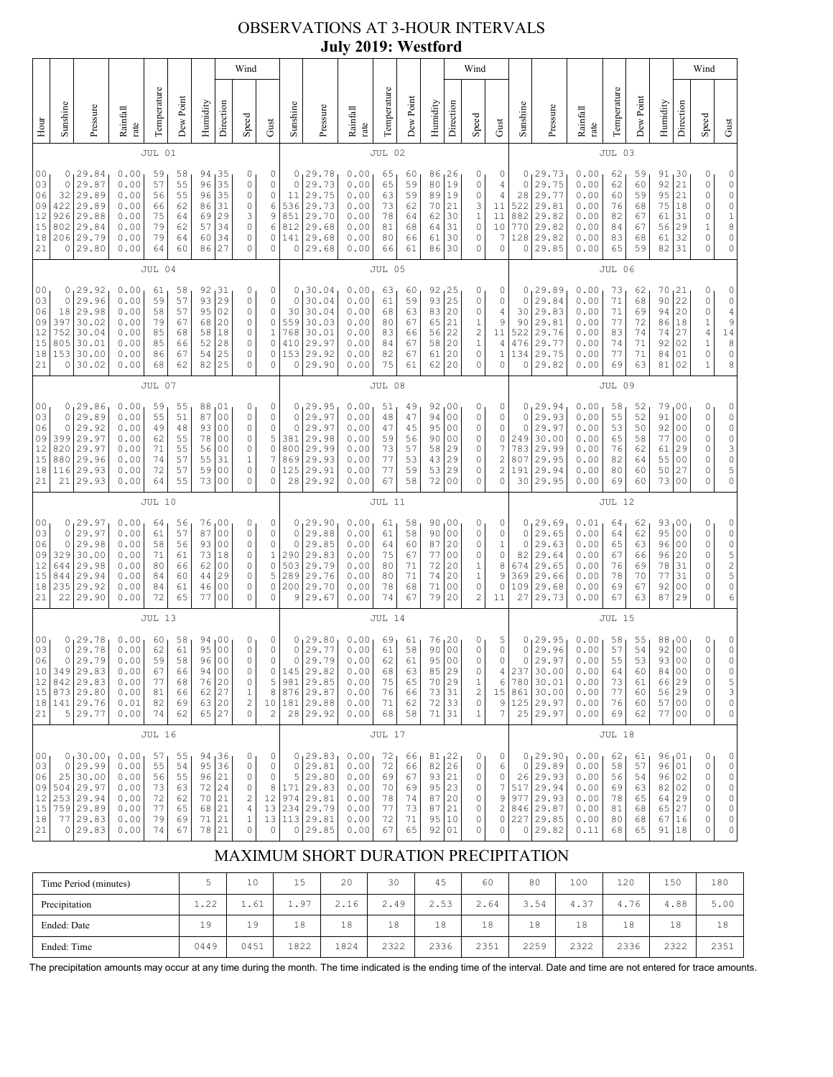## OBSERVATIONS AT 3-HOUR INTERVALS **July 2019: Westford**

|                                                          |                                                |                                                                                                 |                                                              |                                              |                                              |                                              |                                                                                                           | Wind                                                                                          |                                                                                  |                                                         |                                                                                    |                                                              |                                              |                                              |                                                     |                                                                                                           | Wind                                                              |                                                   |                                                         |                                                                               |                                                              |                                              |                                              |                                                           |                                                                                                          | Wind                                                               |                                                                                                 |
|----------------------------------------------------------|------------------------------------------------|-------------------------------------------------------------------------------------------------|--------------------------------------------------------------|----------------------------------------------|----------------------------------------------|----------------------------------------------|-----------------------------------------------------------------------------------------------------------|-----------------------------------------------------------------------------------------------|----------------------------------------------------------------------------------|---------------------------------------------------------|------------------------------------------------------------------------------------|--------------------------------------------------------------|----------------------------------------------|----------------------------------------------|-----------------------------------------------------|-----------------------------------------------------------------------------------------------------------|-------------------------------------------------------------------|---------------------------------------------------|---------------------------------------------------------|-------------------------------------------------------------------------------|--------------------------------------------------------------|----------------------------------------------|----------------------------------------------|-----------------------------------------------------------|----------------------------------------------------------------------------------------------------------|--------------------------------------------------------------------|-------------------------------------------------------------------------------------------------|
| Hour                                                     | Sunshine                                       | Pressure                                                                                        | Rainfall<br>rate                                             | Temperature                                  | Dew Point                                    | Humidity                                     | Direction                                                                                                 | Speed                                                                                         | Gust                                                                             | Sunshine                                                | Pressure                                                                           | Rainfall<br>rate                                             | Temperature                                  | Dew Point                                    | Humidity                                            | Direction                                                                                                 | Speed                                                             | Gust                                              | Sunshine                                                | Pressure                                                                      | Rainfall<br>rate                                             | Temperature                                  | Dew Point                                    | Humidity                                                  | Direction                                                                                                | Speed                                                              | Gust                                                                                            |
|                                                          |                                                |                                                                                                 |                                                              | JUL 01                                       |                                              |                                              |                                                                                                           |                                                                                               |                                                                                  |                                                         |                                                                                    |                                                              | JUL 02                                       |                                              |                                                     |                                                                                                           |                                                                   |                                                   |                                                         |                                                                               |                                                              | JUL 03                                       |                                              |                                                           |                                                                                                          |                                                                    |                                                                                                 |
| 0 <sub>0</sub><br>03<br>06<br>09<br>12<br>15<br>18<br>21 | 0<br>0<br>32<br>422<br>926<br>802<br>0         | 29.84<br>29.87<br>29.89<br>29.89<br>29.88<br>29.84<br>206 29.79<br>29.80                        | 0.00<br>0.00<br>0.00<br>0.00<br>0.00<br>0.00<br>0.00<br>0.00 | 59<br>57<br>56<br>66<br>75<br>79<br>79<br>64 | 58<br>55<br>55<br>62<br>64<br>62<br>64<br>60 | 94<br>96<br>96<br>86<br>69<br>57<br>60<br>86 | 35<br>35<br>35<br>31<br>29<br>34<br>34<br>27                                                              | 0<br>0<br>$\circ$<br>$\circ$<br>3<br>$\circ$<br>$\circ$<br>$\circ$                            | 0<br>0<br>$\circ$<br>6<br>9<br>6<br>0<br>$\circ$                                 | 0<br>0<br>11<br>536<br>851<br>812<br>141<br>0           | 29.78<br>29.73<br>29.75<br>29.73<br>29.70<br>29.68<br>29.68<br>29.68               | 0.00<br>0.00<br>0.00<br>0.00<br>0.00<br>0.00<br>0.00<br>0.00 | 65<br>65<br>63<br>73<br>78<br>81<br>80<br>66 | 60<br>59<br>59<br>62<br>64<br>68<br>66<br>61 | 86<br>80<br>89<br>70<br>62<br>64<br>61<br>86        | 126<br>19<br>19<br>21<br>30<br>31<br>30<br>30                                                             | 0<br>0<br>0<br>3<br>$\,1\,$<br>$\mathbb O$<br>0<br>0              | 0<br>4<br>4<br>11<br>11<br>10<br>7<br>0           | 0<br>0<br>28<br>522<br>882<br>770<br>128<br>0           | 29.73<br>29.75<br>29.77<br>29.81<br>29.82<br>29.82<br>29.82<br>29.85          | 0.00<br>0.00<br>0.00<br>0.00<br>0.00<br>0.00<br>0.00<br>0.00 | 62<br>62<br>60<br>76<br>82<br>84<br>83<br>65 | 59<br>60<br>59<br>68<br>67<br>67<br>68<br>59 | 91<br>92<br>95<br>75<br>61<br>56<br>61<br>82              | 30<br>21<br>21<br> 18<br>31<br>29<br>32<br>31                                                            | 0<br>0<br>0<br>0<br>0<br>$\,1$<br>0<br>0                           | 0<br>0<br>$\mathbb O$<br>$\mathbb O$<br>$\begin{smallmatrix}1\cr 8\end{smallmatrix}$<br>0<br>0  |
|                                                          |                                                |                                                                                                 |                                                              | JUL 04                                       |                                              |                                              |                                                                                                           |                                                                                               |                                                                                  |                                                         |                                                                                    |                                                              | JUL 05                                       |                                              |                                                     |                                                                                                           |                                                                   |                                                   |                                                         |                                                                               |                                                              | JUL 06                                       |                                              |                                                           |                                                                                                          |                                                                    |                                                                                                 |
| 00<br>03<br>06<br>09<br>12<br>15<br>18<br>21             | 0<br>0<br>18<br>397<br>752<br>805<br>153<br>0  | 29.92<br>29.96<br>29.98<br>30.02<br>30.04<br>30.01<br>30.00<br>30.02                            | 0.00<br>0.00<br>0.00<br>0.00<br>0.00<br>0.00<br>0.00<br>0.00 | 61<br>59<br>58<br>79<br>85<br>85<br>86<br>68 | 58<br>57<br>57<br>67<br>68<br>66<br>67<br>62 | 92<br>93<br>95<br>68<br>58<br>52<br>54<br>82 | 31<br>29<br>02<br>20<br>18<br>28<br>25<br>25                                                              | 0<br>$\circ$<br>$\circ$<br>0<br>0<br>0<br>0<br>$\circ$                                        | 0<br>$\mathbb O$<br>$\mathbb O$<br>$\circ$<br>1<br>$\mathbb O$<br>0<br>$\circ$   | 0<br>$\mathbf 0$<br>30<br>559<br>768<br>410<br>153<br>0 | 30.04<br>30.04<br>30.04<br>30.03<br>30.01<br>29.97<br>29.92<br>29.90               | 0.00<br>0.00<br>0.00<br>0.00<br>0.00<br>0.00<br>0.00<br>0.00 | 63<br>61<br>68<br>80<br>83<br>84<br>82<br>75 | 60<br>59<br>63<br>67<br>66<br>67<br>67<br>61 | 92<br>93<br>83<br>65<br>56<br>58<br>61<br>62        | 25 <sub>ا</sub><br>25<br>20<br>21<br>22<br>20<br>20<br>20                                                 | 0<br>0<br>0<br>1<br>$\overline{c}$<br>$\,1\,$<br>$\mathbb O$<br>0 | 0<br>0<br>4<br>9<br>11<br>4<br>$\mathbf{1}$<br>0  | 0<br>0<br>30<br>90<br>522<br>476<br>134<br>0            | 29.89<br>29.84<br>29.83<br>29.81<br>29.76<br>29.77<br>29.75<br>29.82          | 0.00<br>0.00<br>0.00<br>0.00<br>0.00<br>0.00<br>0.00<br>0.00 | 73<br>71<br>71<br>77<br>83<br>74<br>77<br>69 | 62<br>68<br>69<br>72<br>74<br>71<br>71<br>63 | 70<br>90<br>94<br>86<br>74<br>92<br>84<br>81              | 21<br>22<br>20<br>18<br>27<br>02<br>01<br>02                                                             | 0<br>0<br>0<br>$\mathbf 1$<br>4<br>$\mathbf 1$<br>0<br>$\mathbf 1$ | 0<br>$\mathbb O$<br>$\overline{4}$<br>9<br>$14$<br>$\,$ 8 $\,$<br>$\mathbb O$<br>8              |
|                                                          | JUL 07                                         |                                                                                                 |                                                              |                                              |                                              |                                              |                                                                                                           |                                                                                               |                                                                                  |                                                         | JUL 08                                                                             |                                                              |                                              |                                              |                                                     |                                                                                                           |                                                                   |                                                   |                                                         | JUL 09                                                                        |                                                              |                                              |                                              |                                                           |                                                                                                          |                                                                    |                                                                                                 |
| 00<br>03<br>06<br>09<br>12<br>15<br>18<br>21             | $\circ$<br>0<br>399<br>820<br>880<br>116<br>21 | 0, 29.86<br>29.89<br>29.92<br>29.97<br>29.97<br>29.96<br>29.93<br>29.93                         | 0.00<br>0.00<br>0.00<br>0.00<br>0.00<br>0.00<br>0.00<br>0.00 | 59<br>55<br>49<br>62<br>71<br>74<br>72<br>64 | 55<br>51<br>48<br>55<br>55<br>57<br>57<br>55 | 88<br>87<br>93<br>78<br>56<br>55<br>59<br>73 | 101<br>0 <sub>0</sub><br>00<br>0 <sub>0</sub><br>0 <sub>0</sub><br>31<br>0 <sub>0</sub><br>0 <sub>0</sub> | 0<br>$\circ$<br>0<br>0<br>0<br>$\mathbf{1}$<br>$\circ$<br>$\Omega$                            | 0<br>$\mathbb O$<br>$\mathbb O$<br>5<br>$\circ$<br>7<br>0<br>0                   | $\mathbf 0$<br>0<br>381<br>800<br>869<br>125<br>28      | 0, 29.95<br>29.97<br>29.97<br>29.98<br>29.99<br>29.93<br>29.91<br>29.92            | 0.00<br>0.00<br>0.00<br>0.00<br>0.00<br>0.00<br>0.00<br>0.00 | 51<br>48<br>47<br>59<br>73<br>77<br>77<br>67 | 49<br>47<br>45<br>56<br>57<br>53<br>59<br>58 | 92<br>94<br>95<br>90<br>58<br>43<br>53<br>72        | 00 <sub>1</sub><br>0 <sub>0</sub><br>0 <sub>0</sub><br>0 <sub>0</sub><br>29<br>29<br>29<br>0 <sub>0</sub> | 0<br>0<br>0<br>0<br>0<br>0<br>0<br>0                              | 0<br>0<br>0<br>0<br>7<br>$\overline{c}$<br>2<br>0 | 0<br>0<br>249<br>783<br>807<br>191<br>30                | 0, 29.94<br>29.93<br>29.97<br>30.00<br>29.99<br>29.95<br>29.94<br>29.95       | 0.00<br>0.00<br>0.00<br>0.00<br>0.00<br>0.00<br>0.00<br>0.00 | 58<br>55<br>53<br>65<br>76<br>82<br>80<br>69 | 52<br>52<br>50<br>58<br>62<br>64<br>60<br>60 | 79<br>91<br>92<br>77<br>61<br>55<br>50<br>73              | 00<br>0 <sub>0</sub><br>0 <sub>0</sub><br>0 <sub>0</sub><br>29<br>0 <sub>0</sub><br>27<br>0 <sub>0</sub> | 0<br>0<br>0<br>0<br>0<br>0<br>0<br>0                               | 0<br>$\mathbb O$<br>$\circ$<br>$\circ$<br>$\begin{array}{c} 3 \\ 0 \end{array}$<br>5<br>$\circ$ |
|                                                          |                                                |                                                                                                 |                                                              | <b>JUL 10</b>                                |                                              |                                              |                                                                                                           |                                                                                               |                                                                                  |                                                         |                                                                                    |                                                              | JUL 11                                       |                                              |                                                     |                                                                                                           |                                                                   |                                                   |                                                         |                                                                               |                                                              | <b>JUL 12</b>                                |                                              |                                                           |                                                                                                          |                                                                    |                                                                                                 |
| 00<br>03<br>06<br>09<br>12<br>15<br>18<br>21             | 0<br>0<br>329<br>644<br>844<br>235<br>22       | 0, 29.97<br>29.97<br>29.98<br>30.00<br>29.98<br>29.94<br>29.92<br>29.90                         | 0.00<br>0.00<br>0.00<br>0.00<br>0.00<br>0.00<br>0.00<br>0.00 | 64<br>61<br>58<br>71<br>80<br>84<br>84<br>72 | 56<br>57<br>56<br>61<br>66<br>60<br>61<br>65 | 76<br>87<br>93<br>73<br>62<br>44<br>46<br>77 | 00<br>0 <sub>0</sub><br>0 <sub>0</sub><br>18<br>00<br>29<br>0 <sub>0</sub><br>0 <sub>0</sub>              | 0<br>$\circ$<br>0<br>0<br>0<br>0<br>$\circ$<br>$\mathbf{0}$                                   | 0<br>$\mathbb O$<br>$\circ$<br>$\,1\,$<br>$\circ$<br>5<br>$\circ$<br>$\circ$     | 0<br>$\Omega$<br>290<br>503<br>289<br>200<br>9          | 0, 29.90<br>29.88<br>29.85<br>29.83<br>29.79<br>29.76<br>29.70<br>29.67            | 0.00<br>0.00<br>0.00<br>0.00<br>0.00<br>0.00<br>0.00<br>0.00 | 61<br>61<br>64<br>75<br>80<br>80<br>78<br>74 | 58<br>58<br>60<br>67<br>71<br>71<br>68<br>67 | 90<br>90<br>87<br>77<br>72<br>74<br>71<br>79        | 00 <sub>1</sub><br>0 <sub>0</sub><br>20<br>0 <sub>0</sub><br>20<br>20<br>0 <sub>0</sub><br>20             | 0<br>0<br>0<br>0<br>1<br>$\mathbf 1$<br>0<br>2                    | 0<br>0<br>1<br>0<br>8<br>9<br>0<br>11             | $\mathbf{0}$<br>0<br>0<br>82<br>674<br>369<br>109<br>27 | 29.69<br>29.65<br>29.63<br>29.64<br>29.65<br>29.66<br>29.68<br>29.73          | 0.01<br>0.00<br>0.00<br>0.00<br>0.00<br>0.00<br>0.00<br>0.00 | 64<br>64<br>65<br>67<br>76<br>78<br>69<br>67 | 62<br>62<br>63<br>66<br>69<br>70<br>67<br>63 | 93 <sub>1</sub><br>95<br>96<br>96<br>78<br>77<br>92<br>87 | 0 <sup>0</sup><br>0 <sub>0</sub><br>0 <sub>0</sub><br>20<br>31<br>31<br>0 <sub>0</sub><br>29             | 0<br>0<br>0<br>0<br>0<br>0<br>0<br>0                               | 0<br>0<br>$\mathbb O$<br>$\begin{array}{c} 5 \\ 2 \\ 5 \end{array}$<br>$\mathbb O$<br>6         |
|                                                          |                                                | <b>JUL 13</b>                                                                                   |                                                              |                                              |                                              |                                              |                                                                                                           |                                                                                               |                                                                                  |                                                         |                                                                                    | JUL 14                                                       |                                              |                                              |                                                     |                                                                                                           |                                                                   |                                                   |                                                         |                                                                               | <b>JUL 15</b>                                                |                                              |                                              |                                                           |                                                                                                          |                                                                    |                                                                                                 |
| 00<br>03<br>06<br>10<br>12<br>15<br>18<br>21             | 0<br>$\mathsf{O}$<br>842<br>873<br>141<br>5    | 0,29.78<br>29.78<br>29.79<br>349 29.83<br>29.83<br>29.80<br>29.76<br>29.77                      | 0.00<br>0.00<br>0.00<br>0.00<br>0.00<br>0.00<br>0.01<br>0.00 | 60<br>62<br>59<br>67<br>77<br>81<br>82<br>74 | 58<br>61<br>58<br>66<br>68<br>66<br>69<br>62 | 94<br>95<br>96<br>94<br>76<br>62<br>65       | 00<br>00<br>$0\,0$<br>0 <sub>0</sub><br>$\begin{smallmatrix} 2&0\\ 2&7 \end{smallmatrix}$<br>63 20<br>27  | 0<br>$\circ$<br>$\circ$<br>0<br>0<br>$1\,$<br>$\overline{\mathbf{c}}$<br>$\mathbb O$          | 0<br>$\mathbb O$<br>$\mathbb O$<br>0<br>$\mathbf 5$<br>8<br>10<br>$\overline{c}$ | 0<br>0<br>$\circ$<br>145<br>981<br>876<br>181<br>28     | 29.80 ا<br>29.77<br>29.79<br>29.82<br>29.85<br>29.87<br>29.88<br>29.92             | 0.00<br>0.00<br>0.00<br>0.00<br>0.00<br>0.00<br>0.00<br>0.00 | 69<br>61<br>62<br>68<br>75<br>76<br>71<br>68 | 61<br>58<br>61<br>63<br>65<br>66<br>62<br>58 | 76<br>90<br>95<br>85<br>$70$<br>$73\,$<br>72<br>71  | 20 ا<br>0 <sub>0</sub><br>00<br>29<br>$\begin{array}{ c c }\n29 \\ 31\n\end{array}$<br>33<br>31           | 0<br>$\circ$<br>0<br>0<br>$\mathbf 1$<br>$\sqrt{2}$<br>0<br>1     | 5<br>0<br>0<br>4<br>6<br>9<br>7                   | 0<br>0<br>$\circ$<br>237<br>780<br>15 861               | 29.95<br>29.96<br>29.97<br>30.00<br>30.01<br>30.00<br>125 29.97<br>25 29.97   | 0.00<br>0.00<br>0.00<br>0.00<br>0.00<br>0.00<br>0.00<br>0.00 | 58<br>57<br>55<br>64<br>73<br>77<br>76<br>69 | 55<br>54<br>53<br>60<br>61<br>60<br>60<br>62 | 88<br>92<br>93<br>84<br>66<br>56<br>57<br>77              | 00<br>0 <sub>0</sub><br>0 <sub>0</sub><br>0 <sub>0</sub><br>29<br>29<br>0 <sub>0</sub><br>0 <sup>0</sup> | 0<br>0<br>0<br>0<br>0<br>0<br>0<br>0                               | 0<br>$\mathbb O$<br>$\circ$<br>0<br>$\frac{5}{3}$<br>$\mathbb O$<br>0                           |
|                                                          |                                                |                                                                                                 |                                                              | <b>JUL 16</b>                                |                                              |                                              |                                                                                                           |                                                                                               |                                                                                  |                                                         |                                                                                    |                                                              | <b>JUL 17</b>                                |                                              |                                                     |                                                                                                           |                                                                   |                                                   |                                                         |                                                                               |                                                              | <b>JUL 18</b>                                |                                              |                                                           |                                                                                                          |                                                                    |                                                                                                 |
| 00<br>03<br>06<br>09<br>12<br>15<br>18<br>21             | $\circ$<br>25<br>253                           | 0, 30.00<br>29.99<br>30.00<br>$504 \mid 29.97$<br>29.94<br>759 29.89<br>$77$   29.83<br>0 29.83 | 0.00<br>0.00<br>0.00<br>0.00<br>0.00<br>0.00<br>0.00<br>0.00 | 57<br>55<br>56<br>73<br>72<br>77<br>79<br>74 | 55<br>54<br>55<br>63<br>62<br>65<br>69<br>67 | 94<br>95<br>96<br>72<br>70<br>68<br>71<br>78 | 36<br>36<br>21<br>24<br>21<br>21<br>21<br>21                                                              | 0<br>$\circ$<br>$\circ$<br>0<br>$\overline{\mathbf{c}}$<br>$\sqrt{4}$<br>$\,1$<br>$\mathbb O$ | 0<br>$\mathbb O$<br>$\mathbb O$<br>8<br>12<br>13<br>$\mathbb O$                  | $\circ$<br>5<br>171<br>974<br>0                         | 0, 29.83<br>29.81<br>29.80<br>29.83<br>29.81<br>234 29.79<br>13 113 29.81<br>29.85 | 0.00<br>0.00<br>0.00<br>0.00<br>0.00<br>0.00<br>0.00<br>0.00 | 72<br>72<br>69<br>70<br>78<br>77<br>72<br>67 | 66<br>66<br>67<br>69<br>74<br>73<br>71<br>65 | $81^{22}$<br>82<br>93<br>95<br>87<br>87<br>95<br>92 | 26<br> 21<br>23<br>$20$<br>21<br>10<br>01                                                                 | 0<br>$\circ$<br>0<br>0<br>0<br>0<br>$\mathbb O$<br>0              | 0<br>6<br>0<br>7<br>9<br>2<br>0<br>0              | 0<br>26<br>517<br>977<br>227                            | 0, 29.90<br>29.89<br>29.93<br>29.94<br>29.93<br>846 29.87<br>29.85<br>0 29.82 | 0.00<br>0.00<br>0.00<br>0.00<br>0.00<br>0.00<br>0.00<br>0.11 | 62<br>58<br>56<br>69<br>78<br>81<br>80<br>68 | 61<br>57<br>54<br>63<br>65<br>68<br>68<br>65 | 96,01<br>96<br>96<br>82<br>64<br>65<br>67<br>91           | 01<br>02<br>02<br>29<br>27<br>16<br>18                                                                   | 0<br>0<br>0<br>0<br>0<br>0<br>0<br>0                               | 0<br>$\mathbb O$<br>$\mathbb O$<br>$\circ$<br>$\mathbb O$<br>$\circ$<br>$\circ$<br>0            |

# MAXIMUM SHORT DURATION PRECIPITATION

| Time Period (minutes) | ت         | 10   | 15   | 20   | 30   | 45   | 60   | 80   | 100  | 120      | 150  | 180  |
|-----------------------|-----------|------|------|------|------|------|------|------|------|----------|------|------|
| Precipitation         | っっ<br>1.Z | 1.61 | 1.97 | 2.16 | 2.49 | 2.53 | 2.64 | 3.54 | 4.37 | 76<br>4. | 4.88 | 5.00 |
| Ended: Date           | 19        | 19   | 18   | 18   | 18   | 18   | 18   | 18   | 18   | 18       | 18   | 18   |
| Ended: Time           | 0449      | 0451 | 1822 | 1824 | 2322 | 2336 | 2351 | 2259 | 2322 | 2336     | 2322 | 2351 |

The precipitation amounts may occur at any time during the month. The time indicated is the ending time of the interval. Date and time are not entered for trace amounts.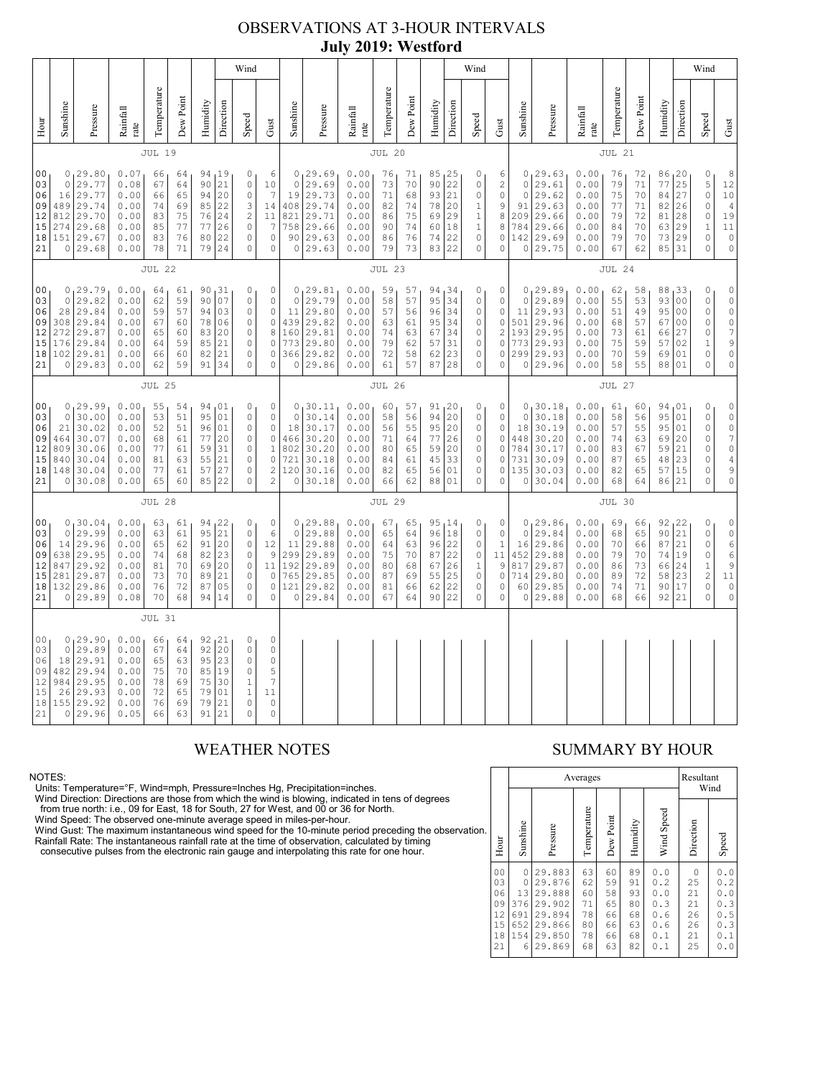## OBSERVATIONS AT 3-HOUR INTERVALS **July 2019: Westford**

|                                                          |                                                                                                                                                                                                                                                                                                                                                                                                                                                                      |                                                                                      |                                                              |                                              |                                              |                                              |                                                                                    | Wind                                                                              |                                                                                                      |                                                              |                                                                             |                                                              |                                                  | Wind                                         |                                                                      |                                                                                       |                                                                      |                                                                                         |                                                              |                                                                         |                                                              |                                                  |                                              |                                                                                                         |                                                                                    | Wind                                                                                                    |                                                                                                                                   |
|----------------------------------------------------------|----------------------------------------------------------------------------------------------------------------------------------------------------------------------------------------------------------------------------------------------------------------------------------------------------------------------------------------------------------------------------------------------------------------------------------------------------------------------|--------------------------------------------------------------------------------------|--------------------------------------------------------------|----------------------------------------------|----------------------------------------------|----------------------------------------------|------------------------------------------------------------------------------------|-----------------------------------------------------------------------------------|------------------------------------------------------------------------------------------------------|--------------------------------------------------------------|-----------------------------------------------------------------------------|--------------------------------------------------------------|--------------------------------------------------|----------------------------------------------|----------------------------------------------------------------------|---------------------------------------------------------------------------------------|----------------------------------------------------------------------|-----------------------------------------------------------------------------------------|--------------------------------------------------------------|-------------------------------------------------------------------------|--------------------------------------------------------------|--------------------------------------------------|----------------------------------------------|---------------------------------------------------------------------------------------------------------|------------------------------------------------------------------------------------|---------------------------------------------------------------------------------------------------------|-----------------------------------------------------------------------------------------------------------------------------------|
| Hour                                                     | Sunshine                                                                                                                                                                                                                                                                                                                                                                                                                                                             | Pressure                                                                             | Rainfall<br>rate                                             | Temperature                                  | Dew Point                                    | Humidity                                     | Direction                                                                          | Speed                                                                             | Gust                                                                                                 | Sunshine                                                     | Pressure                                                                    | Rainfall<br>rate                                             | Temperature                                      | Dew Point                                    | Humidity                                                             | Direction                                                                             | Speed                                                                | Gust                                                                                    | Sunshine                                                     | Pressure                                                                | Rainfall<br>rate                                             | Temperature                                      | Dew Point                                    | Humidity                                                                                                | Direction                                                                          | Speed                                                                                                   | Gust                                                                                                                              |
|                                                          |                                                                                                                                                                                                                                                                                                                                                                                                                                                                      |                                                                                      |                                                              | <b>JUL 19</b>                                |                                              |                                              |                                                                                    |                                                                                   |                                                                                                      |                                                              |                                                                             |                                                              | JUL 20                                           |                                              |                                                                      |                                                                                       |                                                                      |                                                                                         |                                                              |                                                                         |                                                              | JUL 21                                           |                                              |                                                                                                         |                                                                                    |                                                                                                         |                                                                                                                                   |
| 0 <sub>0</sub><br>03<br>06<br>09<br>12<br>15<br>18<br>21 | 0, 29.80<br>0.07<br>66<br>94, 19<br>0<br>64<br>21<br>29.77<br>$\circ$<br>0.08<br>67<br>64<br>90<br>$\mathbb O$<br>29.77<br>0.00<br>65<br>94<br>20<br>$\circ$<br>16<br>66<br>489<br>29.74<br>22<br>0.00<br>85<br>3<br>74<br>69<br>$\sqrt{2}$<br>812<br>29.70<br>0.00<br>75<br>76<br>24<br>83<br>29.68<br>26<br>274<br>0.00<br>77<br>77<br>$\circ$<br>85<br>22<br>151 29.67<br>0.00<br>76<br>$\circ$<br>83<br>80<br>0 29.68<br>0.00<br>78<br>71<br>79<br>24<br>$\circ$ |                                                                                      |                                                              |                                              |                                              |                                              | 6<br>10<br>$\overline{7}$<br>14<br>11<br>$\overline{7}$<br>$\mathbb O$<br>$\Omega$ | $\circ$<br>19<br>408<br>821<br>758<br>90<br>$\circ$                               | 0, 29.69<br>29.69<br>29.73<br>29.74<br>29.71<br>29.66<br>29.63<br>29.63                              | 0.00<br>0.00<br>0.00<br>0.00<br>0.00<br>0.00<br>0.00<br>0.00 | 76<br>73<br>71<br>82<br>86<br>90<br>86<br>79                                | 71<br>70<br>68<br>74<br>75<br>74<br>76<br>73                 | 85, 25<br>90<br>93<br>78<br>69<br>60<br>74<br>83 | 22<br>21<br>20<br>29<br> 18<br>22<br>22      | 0<br>0<br>$\mathsf{O}\xspace$<br>1<br>$\,1$<br>$\mathbf 1$<br>0<br>0 | 6<br>$\sqrt{2}$<br>$\mathsf{O}\xspace$<br>$\mathsf 9$<br>8<br>8<br>$\circ$<br>$\circ$ | $\circ$<br>$\circ$<br>91<br>209<br>784<br>142<br>$\circ$             | 0, 29.63<br>29.61<br>29.62<br>29.63<br>29.66<br>29.66<br>29.69<br>29.75                 | 0.00<br>0.00<br>0.00<br>0.00<br>0.00<br>0.00<br>0.00<br>0.00 | 76<br>79<br>75<br>77<br>79<br>84<br>79<br>67                            | 72<br>71<br>70<br>71<br>72<br>70<br>70<br>62                 | 86, 20<br>77<br>84<br>82<br>81<br>63<br>73<br>85 | 25<br>27<br>26<br>28<br>29<br>29<br>31       | $\mathbb O$<br>$\mathsf S$<br>$\circ$<br>$\mathbb O$<br>$\mathbb O$<br>$1\,$<br>$\mathbb O$<br>$\Omega$ | 8<br>12<br>10<br>$\sqrt{4}$<br>19<br>$11\,$<br>$\mathbb O$<br>$\mathbb O$          |                                                                                                         |                                                                                                                                   |
|                                                          |                                                                                                                                                                                                                                                                                                                                                                                                                                                                      |                                                                                      |                                                              | <b>JUL 22</b>                                |                                              |                                              |                                                                                    |                                                                                   |                                                                                                      |                                                              |                                                                             |                                                              | <b>JUL 23</b>                                    |                                              |                                                                      |                                                                                       |                                                                      |                                                                                         |                                                              |                                                                         |                                                              | JUL 24                                           |                                              |                                                                                                         |                                                                                    |                                                                                                         |                                                                                                                                   |
| 00<br>03<br>06<br>09<br>12<br>15<br>18<br>21             | $\circ$<br>272<br>176                                                                                                                                                                                                                                                                                                                                                                                                                                                | 0, 29.79<br>29.82<br>28 29.84<br>308 29.84<br>29.87<br>29.84<br>102 29.81<br>0 29.83 | 0.00<br>0.00<br>0.00<br>0.00<br>0.00<br>0.00<br>0.00<br>0.00 | 64<br>62<br>59<br>67<br>65<br>64<br>66<br>62 | 61<br>59<br>57<br>60<br>60<br>59<br>60<br>59 | 90<br>94<br>78<br>83<br>85<br>82<br>91       | 90, 31<br>07<br>03<br>06<br>20<br>21<br>21<br>34                                   | 0<br>$\mathbf{0}$<br>$\mathbb O$<br>0<br>0<br>$\circ$<br>0<br>$\Omega$            | 0<br>$\circ$<br>$\circ$<br>$\mathbb O$<br>8<br>$\circ$<br>$\circ$<br>0                               | $\circ$<br>11<br>439<br>160<br>773<br>0                      | 0, 29.81<br>29.79<br>29.80<br>29.82<br>29.81<br>29.80<br>366 29.82<br>29.86 | 0.00<br>0.00<br>0.00<br>0.00<br>0.00<br>0.00<br>0.00<br>0.00 | 59<br>58<br>57<br>63<br>74<br>79<br>72<br>61     | 57<br>57<br>56<br>61<br>63<br>62<br>58<br>57 | 94,34<br>95<br>96<br>95<br>67<br>57<br>62<br>87                      | 34<br>34<br>34<br>34<br>31<br>23<br>28                                                | 0<br>0<br>$\mathbb O$<br>0<br>$\mathbb O$<br>0<br>0<br>0             | 0<br>$\circ$<br>$\mathbb O$<br>0<br>$\mathbf{2}$<br>$\circ$<br>0<br>$\circ$             | $\circ$<br>11<br>501<br>193<br>773<br>299<br>$\circ$         | 0, 29.89<br>29.89<br>29.93<br>29.96<br>29.95<br>29.93<br>29.93<br>29.96 | 0.00<br>0.00<br>0.00<br>0.00<br>0.00<br>0.00<br>0.00<br>0.00 | 62<br>55<br>51<br>68<br>73<br>75<br>70<br>58     | 58<br>53<br>49<br>57<br>61<br>59<br>59<br>55 | 88<br>93<br>95<br>67<br>66<br>57<br>69<br>88                                                            | 33 ا<br>0 <sup>0</sup><br>0 <sub>0</sub><br>0 <sub>0</sub><br>27<br>02<br>01<br>01 | 0<br>$\circ$<br>$\circ$<br>$\mathbb O$<br>$\circ$<br>$1\,$<br>$\circ$<br>$\circ$                        | $\circ$<br>$\circ$<br>$\mathbb O$<br>$\circ$<br>$\begin{array}{c} \n\hline \n\end{array}$<br>9<br>$\circ$<br>$\circ$              |
|                                                          | <b>JUL 25</b>                                                                                                                                                                                                                                                                                                                                                                                                                                                        |                                                                                      |                                                              |                                              |                                              |                                              |                                                                                    |                                                                                   |                                                                                                      |                                                              |                                                                             | <b>JUL 26</b>                                                |                                                  |                                              |                                                                      |                                                                                       |                                                                      |                                                                                         |                                                              |                                                                         | JUL 27                                                       |                                                  |                                              |                                                                                                         |                                                                                    |                                                                                                         |                                                                                                                                   |
| 00<br>03<br>06<br>09<br>12<br>15<br>18<br>21             | $\circ$<br>21<br>464<br>809<br>840<br>0                                                                                                                                                                                                                                                                                                                                                                                                                              | 0, 29.99<br>30.00<br>30.02<br>30.07<br>30.06<br>30.04<br>148 30.04<br> 30.08         | 0.00<br>0.00<br>0.00<br>0.00<br>0.00<br>0.00<br>0.00<br>0.00 | 55<br>53<br>52<br>68<br>77<br>81<br>77<br>65 | 54<br>51<br>51<br>61<br>61<br>63<br>61<br>60 | 95<br>96<br>77<br>59<br>55<br>57<br>85       | 94 01<br>01<br>01<br>20<br>31<br>21<br>27<br>22                                    | 0<br>$\mathbb O$<br>0<br>0<br>0<br>$\circ$<br>$\mathbb O$<br>$\circ$              | 0<br>$\mathbb O$<br>$\circ$<br>$\circ$<br>$\mathbf 1$<br>$\mathbb O$<br>$\sqrt{2}$<br>$\overline{2}$ | $\circ$<br>18<br>466<br>802<br>721<br>120<br>0               | 0, 30.11<br>30.14<br>30.17<br>30.20<br>30.20<br>30.18<br>30.16<br>30.18     | 0.00<br>0.00<br>0.00<br>0.00<br>0.00<br>0.00<br>0.00<br>0.00 | 60<br>58<br>56<br>71<br>80<br>84<br>82<br>66     | 57<br>56<br>55<br>64<br>65<br>61<br>65<br>62 | 91, 20<br>94<br>95<br>77<br>59<br>45<br>56<br>88 01                  | 20<br>20<br>26<br>20<br>33<br>01                                                      | 0<br>$\circ$<br>0<br>0<br>$\mathbb O$<br>$\mathbb O$<br>$\circ$<br>0 | 0<br>$\circ$<br>0<br>$\mathbb O$<br>0<br>0<br>$\circ$<br>$\mathbb O$                    | $\circ$<br>18<br>448<br>784<br>731<br>135<br>$\circ$         | 0, 30.18<br>30.18<br>30.19<br>30.20<br>30.17<br>30.09<br>30.03<br>30.04 | 0.00<br>0.00<br>0.00<br>0.00<br>0.00<br>0.00<br>0.00<br>0.00 | 61<br>58<br>57<br>74<br>83<br>87<br>82<br>68     | 60<br>56<br>55<br>63<br>67<br>65<br>65<br>64 | 94<br>95<br>95<br>69<br>59<br>48<br>57<br>86 21                                                         | 01<br>01<br>01<br>20<br>21<br>23<br>15                                             | 0<br>$\mathbb O$<br>$\circ$<br>$\circ$<br>$\circ$<br>$\circ$<br>$\circ$<br>$\mathbf 0$                  | $\mathbb O$<br>$\mathbb O$<br>$\rm \ddot{o}$<br>$\overline{\phantom{a}}$<br>$\mathbb O$<br>$\sqrt{4}$<br>9<br>$\mathsf{O}\xspace$ |
|                                                          |                                                                                                                                                                                                                                                                                                                                                                                                                                                                      |                                                                                      |                                                              | <b>JUL 28</b>                                |                                              |                                              |                                                                                    |                                                                                   |                                                                                                      |                                                              |                                                                             |                                                              | <b>JUL 29</b>                                    |                                              |                                                                      |                                                                                       |                                                                      |                                                                                         |                                                              |                                                                         |                                                              | JUL 30                                           |                                              |                                                                                                         |                                                                                    |                                                                                                         |                                                                                                                                   |
| 00<br>03<br>06<br>09<br>12<br>15<br>18<br>21             | $\circ$<br>14<br>638<br>847<br>281<br>132                                                                                                                                                                                                                                                                                                                                                                                                                            | 0, 30.04<br>29.99<br>29.96<br>29.95<br>29.92<br>29.87<br>29.86<br>0 29.89            | 0.00<br>0.00<br>0.00<br>0.00<br>0.00<br>0.00<br>0.00<br>0.08 | 63<br>63<br>65<br>74<br>81<br>73<br>76<br>70 | 61<br>61<br>62<br>68<br>70<br>70<br>72<br>68 | 94<br>95<br>91<br>82<br>69<br>89<br>87<br>94 | 22<br>21<br>20<br>23<br>20<br>21<br>05<br>14                                       | $\mathbb O$<br>$\circ$<br>$\circ$<br>$\circ$<br>0<br>0<br>$\circ$<br>$\Omega$     | $\mathbb O$<br>$\epsilon$<br>12<br>9<br>11<br>$\circ$<br>$\circ$<br>$\mathbf 0$                      | $\mathbf 0$<br>11<br>299<br>192<br>765<br>121<br>0           | 0, 29.88<br>29.88<br>29.88<br>29.89<br>29.89<br>29.85<br>29.82<br>29.84     | 0.00<br>0.00<br>0.00<br>0.00<br>0.00<br>0.00<br>0.00<br>0.00 | 67<br>65<br>64<br>75<br>80<br>87<br>81<br>67     | 65<br>64<br>63<br>70<br>68<br>69<br>66<br>64 | 95, 14<br>96 18<br>96<br>87<br>67<br>55<br>62<br>90                  | 22<br>22<br>26<br>25<br>22<br>22                                                      | 0<br>0<br>$\mathbb O$<br>0<br>$\,1$<br>$\mathbb O$<br>0<br>0         | $\mathbb O$<br>$\mathbb O$<br>$1\,$<br>11<br>9<br>$\mathbb O$<br>$\mathbb O$<br>$\circ$ | $\circ$<br>16<br>452<br>817<br>714<br>60<br>0                | 0, 29.86<br>29.84<br>29.86<br>29.88<br>29.87<br>29.80<br>29.85<br>29.88 | 0.00<br>0.00<br>0.00<br>0.00<br>0.00<br>0.00<br>0.00<br>0.00 | 69<br>68<br>70<br>79<br>86<br>89<br>74<br>68     | 66<br>65<br>66<br>70<br>73<br>72<br>71<br>66 | 92<br>90<br>87<br>74<br>66<br>58<br>90<br>92                                                            | 122<br>21<br>21<br>19<br>24<br>23<br>17<br>21                                      | 0<br>$\circ$<br>$\circ$<br>$\mathbb O$<br>$\,1\,$<br>$\overline{\mathbf{c}}$<br>$\mathbb O$<br>$\Omega$ | $\begin{matrix} 0 \\ 0 \end{matrix}$<br>$\epsilon$<br>$\epsilon$<br>9<br>$1\,1$<br>$\begin{smallmatrix}0\\0\\0\end{smallmatrix}$  |
|                                                          |                                                                                                                                                                                                                                                                                                                                                                                                                                                                      |                                                                                      |                                                              | <b>JUL 31</b>                                |                                              |                                              |                                                                                    |                                                                                   |                                                                                                      |                                                              |                                                                             |                                                              |                                                  |                                              |                                                                      |                                                                                       |                                                                      |                                                                                         |                                                              |                                                                         |                                                              |                                                  |                                              |                                                                                                         |                                                                                    |                                                                                                         |                                                                                                                                   |
| 00<br>03<br>06<br>09<br>12<br>15<br>18<br>21             | $\circ$<br>18<br>482<br>984<br>26<br>155                                                                                                                                                                                                                                                                                                                                                                                                                             | 0, 29.90<br>29.89<br>29.91<br>29.94<br>29.95<br>29.93<br>29.92<br>0 29.96            | 0.00<br>0.00<br>0.00<br>0.00<br>0.00<br>0.00<br>0.00<br>0.05 | 66<br>67<br>65<br>75<br>78<br>72<br>76<br>66 | 64<br>64<br>63<br>70<br>69<br>65<br>69<br>63 | 92<br>95<br>85<br>75<br>79<br>79<br>91       | 92, 21<br>$20$<br>23<br>19<br>30<br>01<br>21<br>21                                 | 0<br>$\circ$<br>$\circ$<br>$\circ$<br>$\mathbf 1$<br>$1\,$<br>$\circ$<br>$\Omega$ | $\mathbf 0$<br>$\circ$<br>$\circ$<br>5<br>$\overline{7}$<br>11<br>$\circ$<br>$\mathbf 0$             |                                                              |                                                                             |                                                              |                                                  |                                              |                                                                      |                                                                                       |                                                                      |                                                                                         |                                                              |                                                                         |                                                              |                                                  |                                              |                                                                                                         |                                                                                    |                                                                                                         |                                                                                                                                   |

NOTES:<br>Units: Temperature=°F, Wind=mph, Pressure=Inches Hg, Precipitation=inches.<br>Units: Temperature=°F, Wind=mph, Pressure=Inches Hg, Precipitation=inches.<br>
Yind Direction: Directions are those from which the wind is blow

### WEATHER NOTES SUMMARY BY HOUR

|    |                                                          |                                               | Averages                                                                     |                                              | Resultant                                    | Wind                                         |                                                      |                                             |                                                                   |
|----|----------------------------------------------------------|-----------------------------------------------|------------------------------------------------------------------------------|----------------------------------------------|----------------------------------------------|----------------------------------------------|------------------------------------------------------|---------------------------------------------|-------------------------------------------------------------------|
| ì. | Hour                                                     | Sunshine                                      | Pressure                                                                     | Temperature                                  | Dew Point                                    | Humidity                                     | Wind Speed                                           | Direction                                   | Speed                                                             |
|    | 0 <sub>0</sub><br>03<br>06<br>09<br>12<br>15<br>18<br>21 | 0<br>0<br>13<br>376<br>691<br>652<br>154<br>6 | 29.883<br>29.876<br>29.888<br>29.902<br>29.894<br>29.866<br>29.850<br>29.869 | 63<br>62<br>60<br>71<br>78<br>80<br>78<br>68 | 60<br>59<br>58<br>65<br>66<br>66<br>66<br>63 | 89<br>91<br>93<br>80<br>68<br>63<br>68<br>82 | 0.0<br>0.2<br>0.0<br>0.3<br>0.6<br>0.6<br>0.1<br>0.1 | 0<br>25<br>21<br>21<br>26<br>26<br>21<br>25 | $0.0$<br>0.2<br>0<br>$\cdot$ 0<br>0.3<br>0.5<br>0.3<br>0.1<br>0.0 |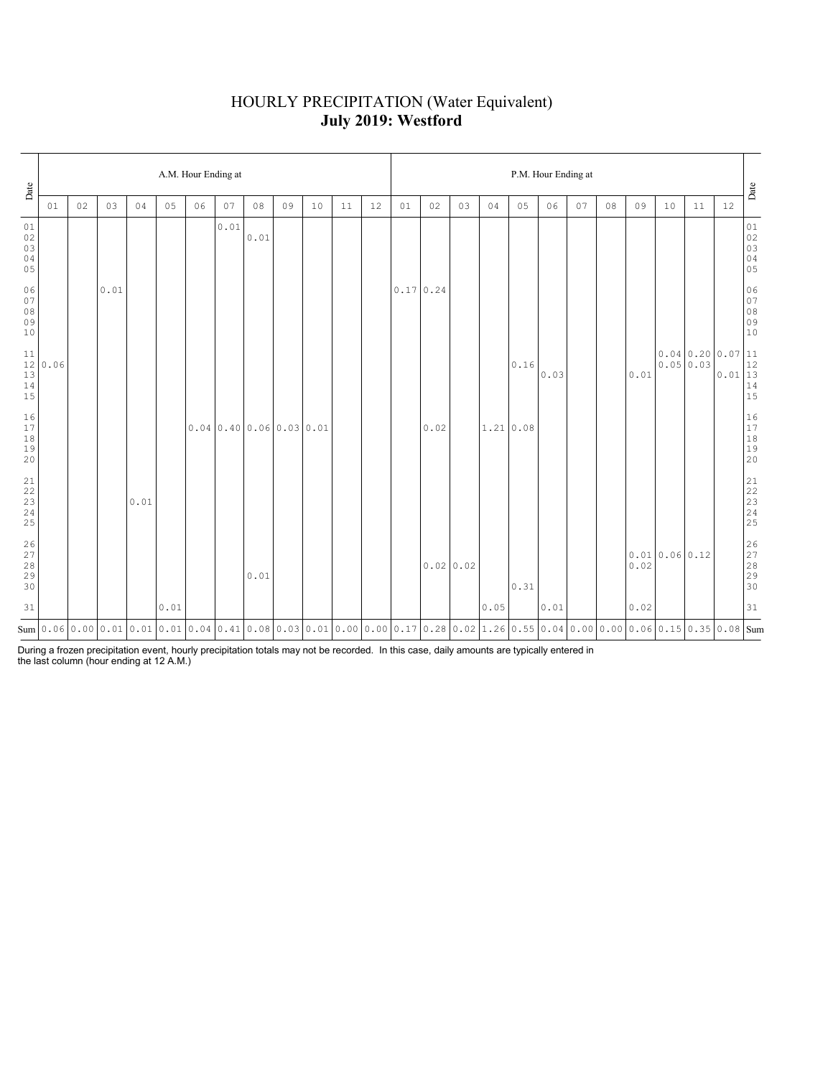## HOURLY PRECIPITATION (Water Equivalent) **July 2019: Westford**

| Date                                                                                     |      | A.M. Hour Ending at |      |      |      |    |      |      |                                                                                                                                                                                                                                                                                                                                      |    |    |    |          |      | P.M. Hour Ending at |      |                |      |    |    |                        |              |                           |                                                                                 |                                  |  |  |
|------------------------------------------------------------------------------------------|------|---------------------|------|------|------|----|------|------|--------------------------------------------------------------------------------------------------------------------------------------------------------------------------------------------------------------------------------------------------------------------------------------------------------------------------------------|----|----|----|----------|------|---------------------|------|----------------|------|----|----|------------------------|--------------|---------------------------|---------------------------------------------------------------------------------|----------------------------------|--|--|
|                                                                                          | 01   | 02                  | 03   | 04   | 05   | 06 | 07   | 08   | 09                                                                                                                                                                                                                                                                                                                                   | 10 | 11 | 12 | 01       | 02   | 03                  | 04   | 05             | 06   | 07 | 08 | 09                     | 10           | 11                        | 12                                                                              | Date                             |  |  |
| 01<br>$02\,$<br>03<br>$0\,4$<br>05                                                       |      |                     |      |      |      |    | 0.01 | 0.01 |                                                                                                                                                                                                                                                                                                                                      |    |    |    |          |      |                     |      |                |      |    |    |                        |              |                           |                                                                                 | 01<br>02<br>03<br>04<br>05       |  |  |
| 06<br>07<br>$08$<br>$09$<br>$10$                                                         |      |                     | 0.01 |      |      |    |      |      |                                                                                                                                                                                                                                                                                                                                      |    |    |    | 0.170.24 |      |                     |      |                |      |    |    |                        |              |                           |                                                                                 | 06<br>07<br>08<br>09<br>09<br>10 |  |  |
| $\begin{array}{c} 11 \\ 12 \end{array}$<br>$\begin{array}{c} 13 \\ 14 \end{array}$<br>15 | 0.06 |                     |      |      |      |    |      |      |                                                                                                                                                                                                                                                                                                                                      |    |    |    |          |      |                     |      | $0\,.16$       | 0.03 |    |    | 0.01                   |              | 0.040.200.07<br>0.0500.03 | $\begin{array}{r l} 0.07 & 11 \\ 0.01 & 12 \\ 0.01 & 13 \\ 14 & 15 \end{array}$ |                                  |  |  |
| $\begin{smallmatrix}1\,6\\1\,7\end{smallmatrix}$<br>$1\,8$<br>19<br>20                   |      |                     |      |      |      |    |      |      | $0.04 \mid 0.40 \mid 0.06 \mid 0.03 \mid 0.01$                                                                                                                                                                                                                                                                                       |    |    |    |          | 0.02 |                     |      | $1.21 \, 0.08$ |      |    |    |                        |              |                           |                                                                                 | 16<br>17<br>18<br>19<br>20       |  |  |
| 21<br>22<br>$\frac{23}{24}$<br>25                                                        |      |                     |      | 0.01 |      |    |      |      |                                                                                                                                                                                                                                                                                                                                      |    |    |    |          |      |                     |      |                |      |    |    |                        |              |                           |                                                                                 |                                  |  |  |
| 26<br>27<br>28<br>29<br>30                                                               |      |                     |      |      |      |    |      | 0.01 |                                                                                                                                                                                                                                                                                                                                      |    |    |    |          |      | 0.0200.02           |      | 0.31           |      |    |    | ${\tt 0}$ . ${\tt 02}$ | 0.010.060.12 |                           |                                                                                 | 26<br>27<br>28<br>29<br>29<br>30 |  |  |
| 31                                                                                       |      |                     |      |      | 0.01 |    |      |      |                                                                                                                                                                                                                                                                                                                                      |    |    |    |          |      |                     | 0.05 |                | 0.01 |    |    | 0.02                   |              |                           |                                                                                 | 31                               |  |  |
|                                                                                          |      |                     |      |      |      |    |      |      | $\text{Sum}\left[0.06\left[0.00\left[0.01\left[0.01\left[0.01\left[0.04\left[0.41\left[0.08\left[0.03\left[0.01\left[0.00\left[0.01\left[0.00\left[0.01\right]c0.01\right]c0.01\right]c0.02\left[0.02\left[1.26\left[0.55\left[0.04\left[0.00\left[0.00\left[0.06\left[0.06\left[0.03\left[0.03\left[0.03\left[0.03\left[0.03\left[$ |    |    |    |          |      |                     |      |                |      |    |    |                        |              |                           |                                                                                 |                                  |  |  |

During a frozen precipitation event, hourly precipitation totals may not be recorded. In this case, daily amounts are typically entered in the last column (hour ending at 12 A.M.)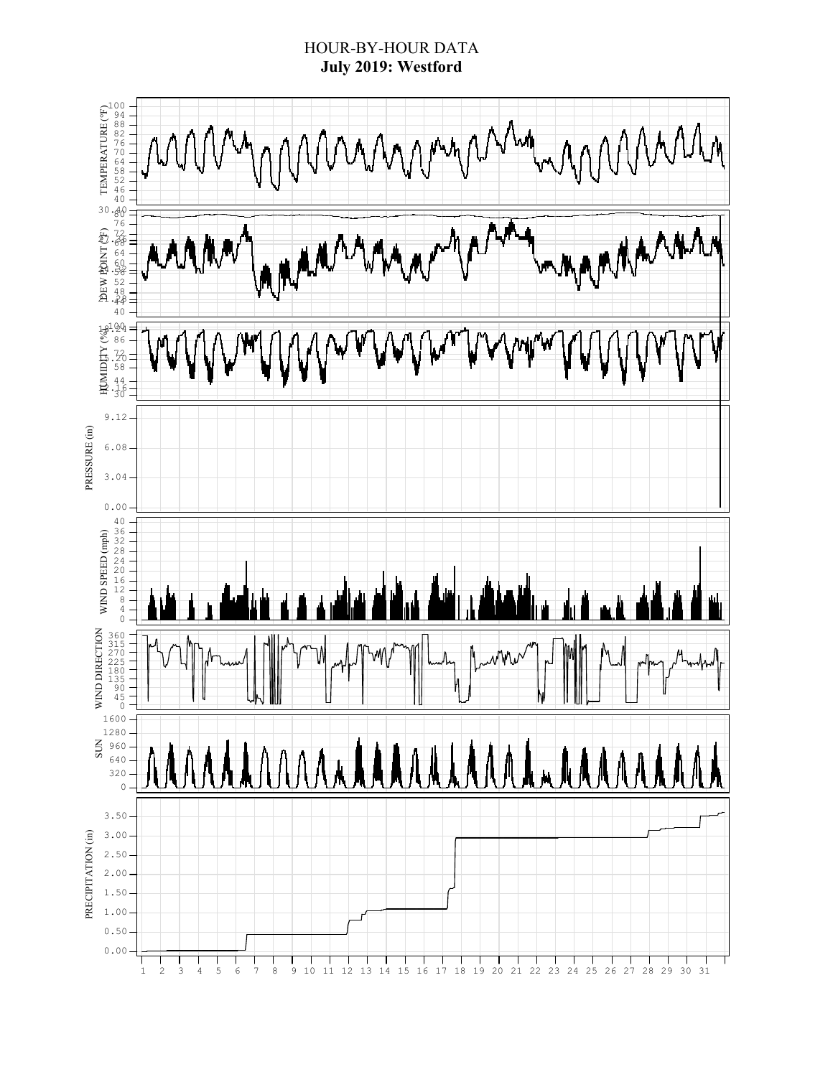### HOUR-BY-HOUR DATA **July 2019: Westford**